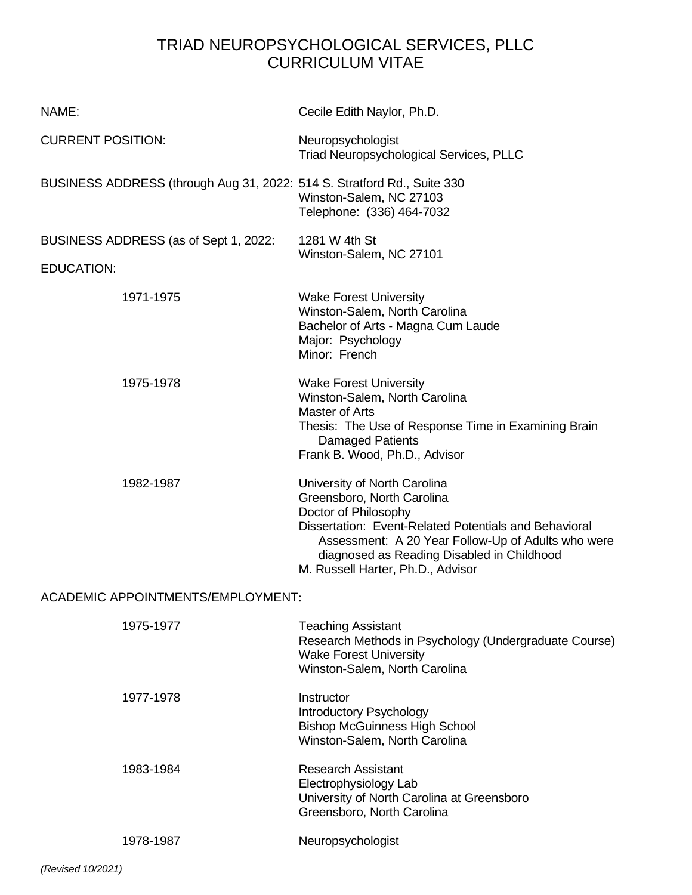# TRIAD NEUROPSYCHOLOGICAL SERVICES, PLLC CURRICULUM VITAE

| NAME:                                                                   | Cecile Edith Naylor, Ph.D.                                                                                                                                                                                                                                                           |
|-------------------------------------------------------------------------|--------------------------------------------------------------------------------------------------------------------------------------------------------------------------------------------------------------------------------------------------------------------------------------|
| <b>CURRENT POSITION:</b>                                                | Neuropsychologist<br><b>Triad Neuropsychological Services, PLLC</b>                                                                                                                                                                                                                  |
| BUSINESS ADDRESS (through Aug 31, 2022: 514 S. Stratford Rd., Suite 330 | Winston-Salem, NC 27103<br>Telephone: (336) 464-7032                                                                                                                                                                                                                                 |
| BUSINESS ADDRESS (as of Sept 1, 2022:<br><b>EDUCATION:</b>              | 1281 W 4th St<br>Winston-Salem, NC 27101                                                                                                                                                                                                                                             |
| 1971-1975                                                               | <b>Wake Forest University</b><br>Winston-Salem, North Carolina<br>Bachelor of Arts - Magna Cum Laude<br>Major: Psychology<br>Minor: French                                                                                                                                           |
| 1975-1978                                                               | <b>Wake Forest University</b><br>Winston-Salem, North Carolina<br>Master of Arts<br>Thesis: The Use of Response Time in Examining Brain<br><b>Damaged Patients</b><br>Frank B. Wood, Ph.D., Advisor                                                                                  |
| 1982-1987                                                               | University of North Carolina<br>Greensboro, North Carolina<br>Doctor of Philosophy<br>Dissertation: Event-Related Potentials and Behavioral<br>Assessment: A 20 Year Follow-Up of Adults who were<br>diagnosed as Reading Disabled in Childhood<br>M. Russell Harter, Ph.D., Advisor |
| <b>ACADEMIC APPOINTMENTS/EMPLOYMENT:</b>                                |                                                                                                                                                                                                                                                                                      |
| 1975-1977                                                               | <b>Teaching Assistant</b><br>Research Methods in Psychology (Undergraduate Course)<br><b>Wake Forest University</b><br>Winston-Salem, North Carolina                                                                                                                                 |
| 1977-1978                                                               | Instructor<br>Introductory Psychology<br><b>Bishop McGuinness High School</b><br>Winston-Salem, North Carolina                                                                                                                                                                       |
| 1983-1984                                                               | <b>Research Assistant</b><br>Electrophysiology Lab<br>University of North Carolina at Greensboro<br>Greensboro, North Carolina                                                                                                                                                       |
| 1978-1987                                                               | Neuropsychologist                                                                                                                                                                                                                                                                    |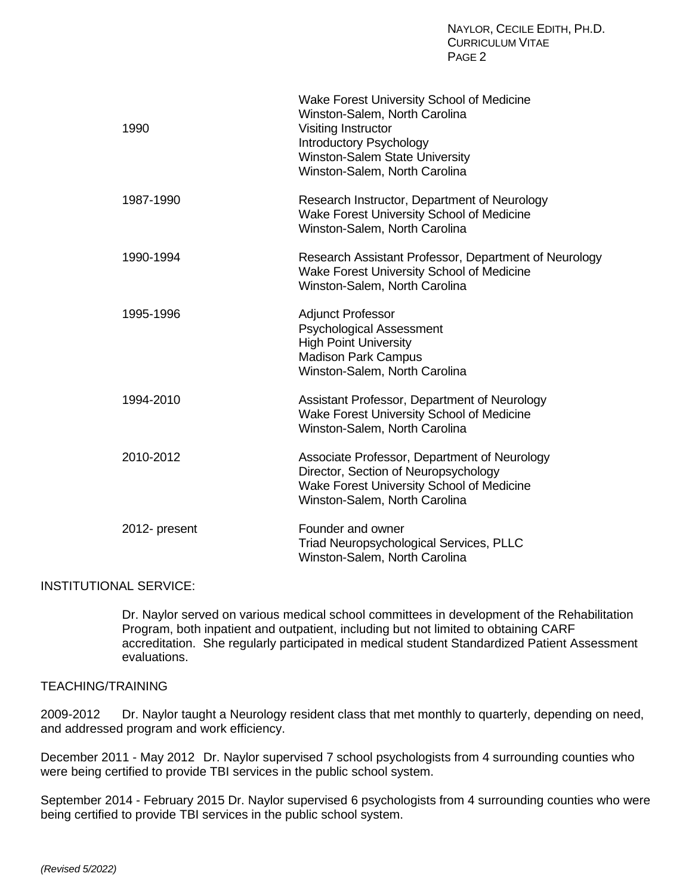| 1990          | Wake Forest University School of Medicine<br>Winston-Salem, North Carolina<br>Visiting Instructor<br>Introductory Psychology<br><b>Winston-Salem State University</b><br>Winston-Salem, North Carolina |
|---------------|--------------------------------------------------------------------------------------------------------------------------------------------------------------------------------------------------------|
| 1987-1990     | Research Instructor, Department of Neurology<br>Wake Forest University School of Medicine<br>Winston-Salem, North Carolina                                                                             |
| 1990-1994     | Research Assistant Professor, Department of Neurology<br>Wake Forest University School of Medicine<br>Winston-Salem, North Carolina                                                                    |
| 1995-1996     | <b>Adjunct Professor</b><br><b>Psychological Assessment</b><br><b>High Point University</b><br><b>Madison Park Campus</b><br>Winston-Salem, North Carolina                                             |
| 1994-2010     | Assistant Professor, Department of Neurology<br>Wake Forest University School of Medicine<br>Winston-Salem, North Carolina                                                                             |
| 2010-2012     | Associate Professor, Department of Neurology<br>Director, Section of Neuropsychology<br>Wake Forest University School of Medicine<br>Winston-Salem, North Carolina                                     |
| 2012- present | Founder and owner<br>Triad Neuropsychological Services, PLLC<br>Winston-Salem, North Carolina                                                                                                          |

## INSTITUTIONAL SERVICE:

Dr. Naylor served on various medical school committees in development of the Rehabilitation Program, both inpatient and outpatient, including but not limited to obtaining CARF accreditation. She regularly participated in medical student Standardized Patient Assessment evaluations.

# TEACHING/TRAINING

2009-2012 Dr. Naylor taught a Neurology resident class that met monthly to quarterly, depending on need, and addressed program and work efficiency.

December 2011 - May 2012 Dr. Naylor supervised 7 school psychologists from 4 surrounding counties who were being certified to provide TBI services in the public school system.

September 2014 - February 2015 Dr. Naylor supervised 6 psychologists from 4 surrounding counties who were being certified to provide TBI services in the public school system.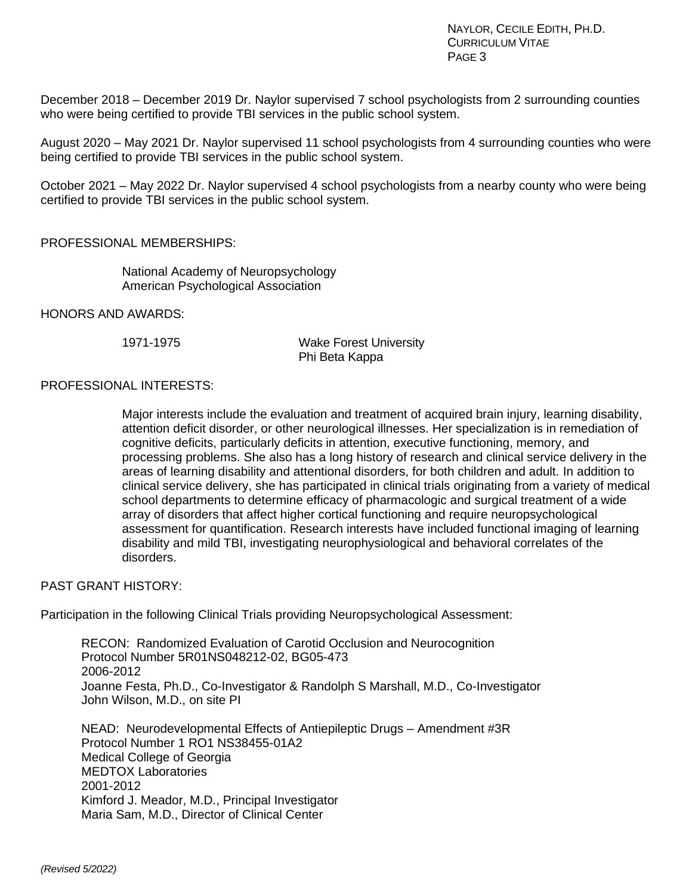December 2018 – December 2019 Dr. Naylor supervised 7 school psychologists from 2 surrounding counties who were being certified to provide TBI services in the public school system.

August 2020 – May 2021 Dr. Naylor supervised 11 school psychologists from 4 surrounding counties who were being certified to provide TBI services in the public school system.

October 2021 – May 2022 Dr. Naylor supervised 4 school psychologists from a nearby county who were being certified to provide TBI services in the public school system.

# PROFESSIONAL MEMBERSHIPS:

National Academy of Neuropsychology American Psychological Association

HONORS AND AWARDS:

1971-1975 Wake Forest University Phi Beta Kappa

## PROFESSIONAL INTERESTS:

Major interests include the evaluation and treatment of acquired brain injury, learning disability, attention deficit disorder, or other neurological illnesses. Her specialization is in remediation of cognitive deficits, particularly deficits in attention, executive functioning, memory, and processing problems. She also has a long history of research and clinical service delivery in the areas of learning disability and attentional disorders, for both children and adult. In addition to clinical service delivery, she has participated in clinical trials originating from a variety of medical school departments to determine efficacy of pharmacologic and surgical treatment of a wide array of disorders that affect higher cortical functioning and require neuropsychological assessment for quantification. Research interests have included functional imaging of learning disability and mild TBI, investigating neurophysiological and behavioral correlates of the disorders.

## PAST GRANT HISTORY:

Participation in the following Clinical Trials providing Neuropsychological Assessment:

RECON: Randomized Evaluation of Carotid Occlusion and Neurocognition Protocol Number 5R01NS048212-02, BG05-473 2006-2012 Joanne Festa, Ph.D., Co-Investigator & Randolph S Marshall, M.D., Co-Investigator John Wilson, M.D., on site PI

NEAD: Neurodevelopmental Effects of Antiepileptic Drugs – Amendment #3R Protocol Number 1 RO1 NS38455-01A2 Medical College of Georgia MEDTOX Laboratories 2001-2012 Kimford J. Meador, M.D., Principal Investigator Maria Sam, M.D., Director of Clinical Center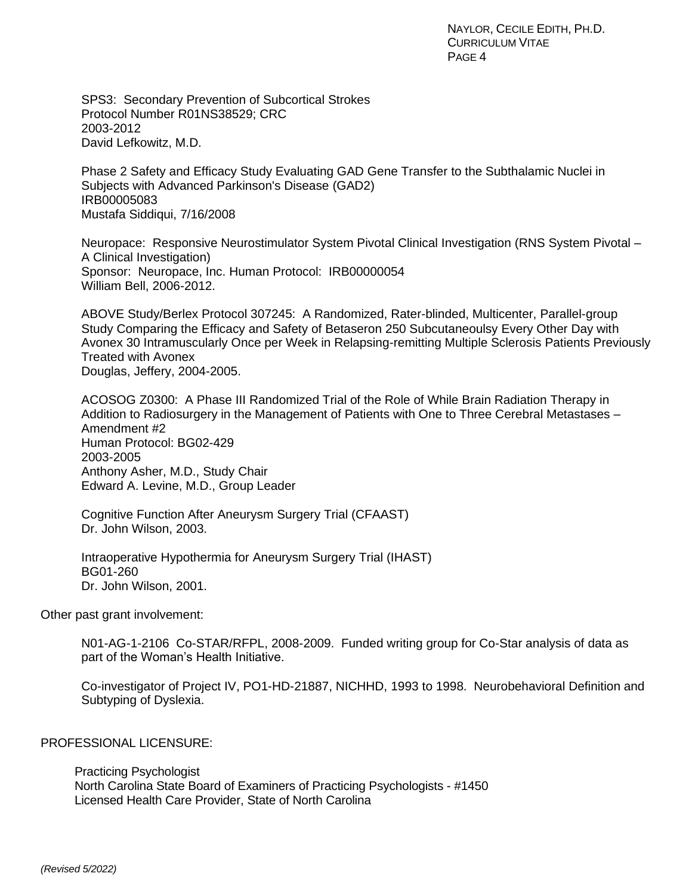SPS3: Secondary Prevention of Subcortical Strokes Protocol Number R01NS38529; CRC 2003-2012 David Lefkowitz, M.D.

Phase 2 Safety and Efficacy Study Evaluating GAD Gene Transfer to the Subthalamic Nuclei in Subjects with Advanced Parkinson's Disease (GAD2) IRB00005083 Mustafa Siddiqui, 7/16/2008

Neuropace: Responsive Neurostimulator System Pivotal Clinical Investigation (RNS System Pivotal – A Clinical Investigation) Sponsor: Neuropace, Inc. Human Protocol: IRB00000054 William Bell, 2006-2012.

ABOVE Study/Berlex Protocol 307245: A Randomized, Rater-blinded, Multicenter, Parallel-group Study Comparing the Efficacy and Safety of Betaseron 250 Subcutaneoulsy Every Other Day with Avonex 30 Intramuscularly Once per Week in Relapsing-remitting Multiple Sclerosis Patients Previously Treated with Avonex Douglas, Jeffery, 2004-2005.

ACOSOG Z0300: A Phase III Randomized Trial of the Role of While Brain Radiation Therapy in Addition to Radiosurgery in the Management of Patients with One to Three Cerebral Metastases – Amendment #2 Human Protocol: BG02-429 2003-2005 Anthony Asher, M.D., Study Chair Edward A. Levine, M.D., Group Leader

Cognitive Function After Aneurysm Surgery Trial (CFAAST) Dr. John Wilson, 2003.

Intraoperative Hypothermia for Aneurysm Surgery Trial (IHAST) BG01-260 Dr. John Wilson, 2001.

Other past grant involvement:

N01-AG-1-2106 Co-STAR/RFPL, 2008-2009. Funded writing group for Co-Star analysis of data as part of the Woman's Health Initiative.

Co-investigator of Project IV, PO1-HD-21887, NICHHD, 1993 to 1998. Neurobehavioral Definition and Subtyping of Dyslexia.

PROFESSIONAL LICENSURE:

Practicing Psychologist North Carolina State Board of Examiners of Practicing Psychologists - #1450 Licensed Health Care Provider, State of North Carolina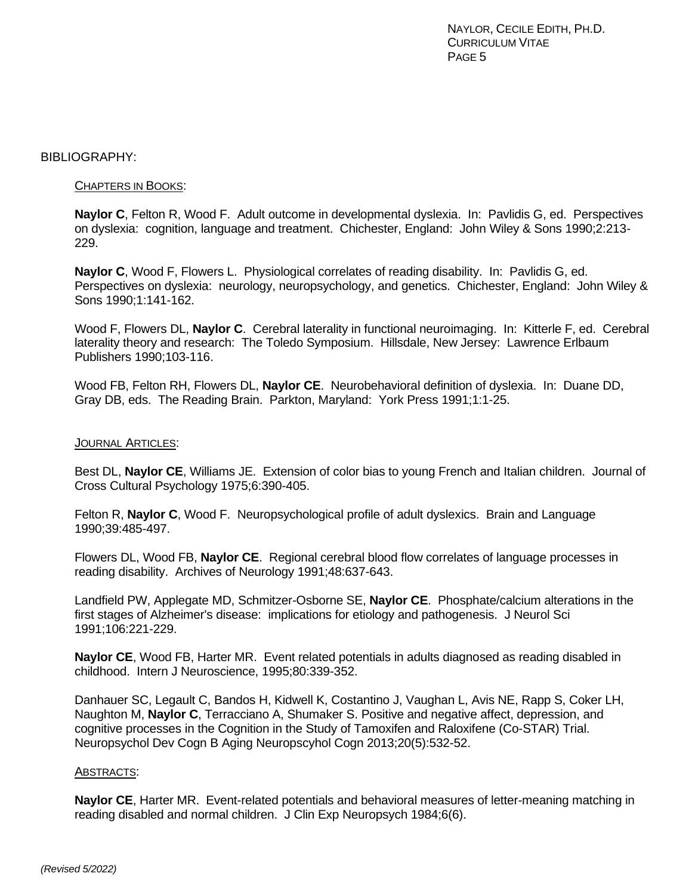NAYLOR, CECILE EDITH, PH.D. CURRICULUM VITAE PAGE<sub>5</sub>

#### BIBLIOGRAPHY:

### CHAPTERS IN BOOKS:

**Naylor C**, Felton R, Wood F. Adult outcome in developmental dyslexia. In: Pavlidis G, ed. Perspectives on dyslexia: cognition, language and treatment. Chichester, England: John Wiley & Sons 1990;2:213- 229.

**Naylor C**, Wood F, Flowers L. Physiological correlates of reading disability. In: Pavlidis G, ed. Perspectives on dyslexia: neurology, neuropsychology, and genetics. Chichester, England: John Wiley & Sons 1990;1:141-162.

Wood F, Flowers DL, **Naylor C**. Cerebral laterality in functional neuroimaging. In: Kitterle F, ed. Cerebral laterality theory and research: The Toledo Symposium. Hillsdale, New Jersey: Lawrence Erlbaum Publishers 1990;103-116.

Wood FB, Felton RH, Flowers DL, **Naylor CE**. Neurobehavioral definition of dyslexia. In: Duane DD, Gray DB, eds. The Reading Brain. Parkton, Maryland: York Press 1991;1:1-25.

#### JOURNAL ARTICLES:

Best DL, **Naylor CE**, Williams JE. Extension of color bias to young French and Italian children. Journal of Cross Cultural Psychology 1975;6:390-405.

Felton R, **Naylor C**, Wood F. Neuropsychological profile of adult dyslexics. Brain and Language 1990;39:485-497.

Flowers DL, Wood FB, **Naylor CE**. Regional cerebral blood flow correlates of language processes in reading disability. Archives of Neurology 1991;48:637-643.

Landfield PW, Applegate MD, Schmitzer-Osborne SE, **Naylor CE**. Phosphate/calcium alterations in the first stages of Alzheimer's disease: implications for etiology and pathogenesis. J Neurol Sci 1991;106:221-229.

**Naylor CE**, Wood FB, Harter MR. Event related potentials in adults diagnosed as reading disabled in childhood. Intern J Neuroscience, 1995;80:339-352.

Danhauer SC, Legault C, Bandos H, Kidwell K, Costantino J, Vaughan L, Avis NE, Rapp S, Coker LH, Naughton M, **Naylor C**, Terracciano A, Shumaker S. Positive and negative affect, depression, and cognitive processes in the Cognition in the Study of Tamoxifen and Raloxifene (Co-STAR) Trial. Neuropsychol Dev Cogn B Aging Neuropscyhol Cogn 2013;20(5):532-52.

#### ABSTRACTS:

**Naylor CE**, Harter MR. Event-related potentials and behavioral measures of letter-meaning matching in reading disabled and normal children. J Clin Exp Neuropsych 1984;6(6).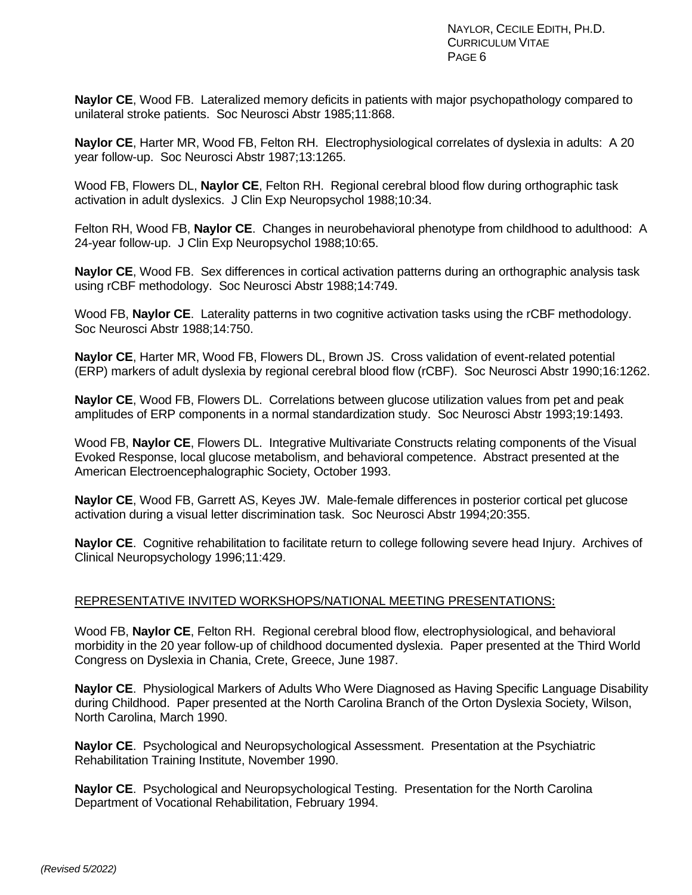**Naylor CE**, Wood FB. Lateralized memory deficits in patients with major psychopathology compared to unilateral stroke patients. Soc Neurosci Abstr 1985;11:868.

**Naylor CE**, Harter MR, Wood FB, Felton RH. Electrophysiological correlates of dyslexia in adults: A 20 year follow-up. Soc Neurosci Abstr 1987;13:1265.

Wood FB, Flowers DL, **Naylor CE**, Felton RH. Regional cerebral blood flow during orthographic task activation in adult dyslexics. J Clin Exp Neuropsychol 1988;10:34.

Felton RH, Wood FB, **Naylor CE**. Changes in neurobehavioral phenotype from childhood to adulthood: A 24-year follow-up. J Clin Exp Neuropsychol 1988;10:65.

**Naylor CE**, Wood FB. Sex differences in cortical activation patterns during an orthographic analysis task using rCBF methodology. Soc Neurosci Abstr 1988;14:749.

Wood FB, **Naylor CE**. Laterality patterns in two cognitive activation tasks using the rCBF methodology. Soc Neurosci Abstr 1988;14:750.

**Naylor CE**, Harter MR, Wood FB, Flowers DL, Brown JS. Cross validation of event-related potential (ERP) markers of adult dyslexia by regional cerebral blood flow (rCBF). Soc Neurosci Abstr 1990;16:1262.

**Naylor CE**, Wood FB, Flowers DL. Correlations between glucose utilization values from pet and peak amplitudes of ERP components in a normal standardization study. Soc Neurosci Abstr 1993;19:1493.

Wood FB, **Naylor CE**, Flowers DL. Integrative Multivariate Constructs relating components of the Visual Evoked Response, local glucose metabolism, and behavioral competence. Abstract presented at the American Electroencephalographic Society, October 1993.

**Naylor CE**, Wood FB, Garrett AS, Keyes JW. Male-female differences in posterior cortical pet glucose activation during a visual letter discrimination task. Soc Neurosci Abstr 1994;20:355.

**Naylor CE**. Cognitive rehabilitation to facilitate return to college following severe head Injury. Archives of Clinical Neuropsychology 1996;11:429.

# REPRESENTATIVE INVITED WORKSHOPS/NATIONAL MEETING PRESENTATIONS:

Wood FB, **Naylor CE**, Felton RH. Regional cerebral blood flow, electrophysiological, and behavioral morbidity in the 20 year follow-up of childhood documented dyslexia. Paper presented at the Third World Congress on Dyslexia in Chania, Crete, Greece, June 1987.

**Naylor CE**. Physiological Markers of Adults Who Were Diagnosed as Having Specific Language Disability during Childhood. Paper presented at the North Carolina Branch of the Orton Dyslexia Society, Wilson, North Carolina, March 1990.

**Naylor CE**. Psychological and Neuropsychological Assessment. Presentation at the Psychiatric Rehabilitation Training Institute, November 1990.

**Naylor CE**. Psychological and Neuropsychological Testing. Presentation for the North Carolina Department of Vocational Rehabilitation, February 1994.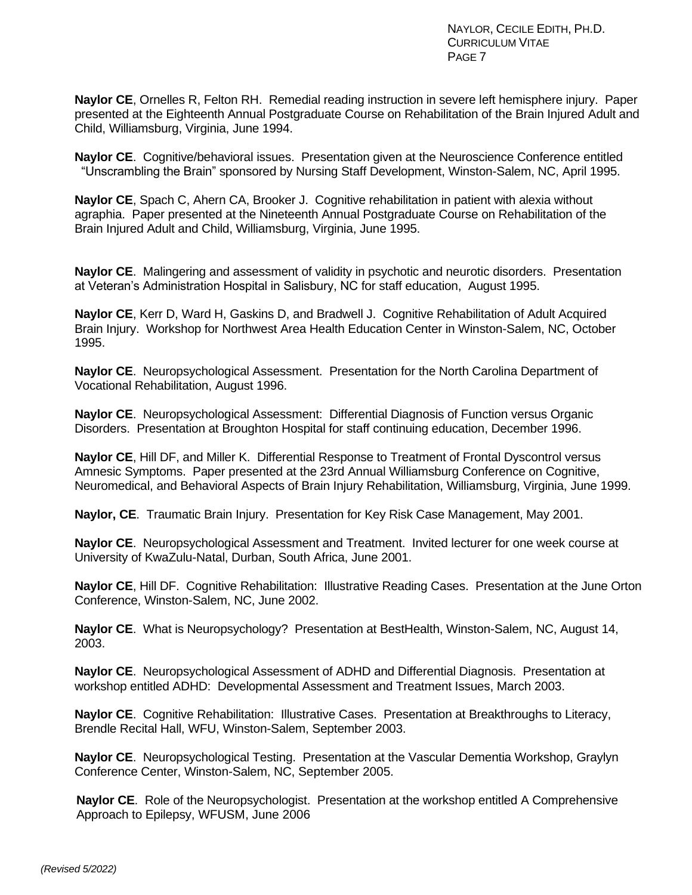**Naylor CE**, Ornelles R, Felton RH. Remedial reading instruction in severe left hemisphere injury. Paper presented at the Eighteenth Annual Postgraduate Course on Rehabilitation of the Brain Injured Adult and Child, Williamsburg, Virginia, June 1994.

**Naylor CE**. Cognitive/behavioral issues. Presentation given at the Neuroscience Conference entitled "Unscrambling the Brain" sponsored by Nursing Staff Development, Winston-Salem, NC, April 1995.

**Naylor CE**, Spach C, Ahern CA, Brooker J. Cognitive rehabilitation in patient with alexia without agraphia. Paper presented at the Nineteenth Annual Postgraduate Course on Rehabilitation of the Brain Injured Adult and Child, Williamsburg, Virginia, June 1995.

**Naylor CE**. Malingering and assessment of validity in psychotic and neurotic disorders. Presentation at Veteran's Administration Hospital in Salisbury, NC for staff education, August 1995.

**Naylor CE**, Kerr D, Ward H, Gaskins D, and Bradwell J. Cognitive Rehabilitation of Adult Acquired Brain Injury. Workshop for Northwest Area Health Education Center in Winston-Salem, NC, October 1995.

**Naylor CE**. Neuropsychological Assessment. Presentation for the North Carolina Department of Vocational Rehabilitation, August 1996.

**Naylor CE**. Neuropsychological Assessment: Differential Diagnosis of Function versus Organic Disorders. Presentation at Broughton Hospital for staff continuing education, December 1996.

**Naylor CE**, Hill DF, and Miller K. Differential Response to Treatment of Frontal Dyscontrol versus Amnesic Symptoms. Paper presented at the 23rd Annual Williamsburg Conference on Cognitive, Neuromedical, and Behavioral Aspects of Brain Injury Rehabilitation, Williamsburg, Virginia, June 1999.

**Naylor, CE**. Traumatic Brain Injury. Presentation for Key Risk Case Management, May 2001.

**Naylor CE**. Neuropsychological Assessment and Treatment. Invited lecturer for one week course at University of KwaZulu-Natal, Durban, South Africa, June 2001.

**Naylor CE**, Hill DF. Cognitive Rehabilitation: Illustrative Reading Cases. Presentation at the June Orton Conference, Winston-Salem, NC, June 2002.

**Naylor CE**. What is Neuropsychology? Presentation at BestHealth, Winston-Salem, NC, August 14, 2003.

**Naylor CE**. Neuropsychological Assessment of ADHD and Differential Diagnosis. Presentation at workshop entitled ADHD: Developmental Assessment and Treatment Issues, March 2003.

**Naylor CE**. Cognitive Rehabilitation: Illustrative Cases. Presentation at Breakthroughs to Literacy, Brendle Recital Hall, WFU, Winston-Salem, September 2003.

**Naylor CE**. Neuropsychological Testing. Presentation at the Vascular Dementia Workshop, Graylyn Conference Center, Winston-Salem, NC, September 2005.

**Naylor CE**. Role of the Neuropsychologist. Presentation at the workshop entitled A Comprehensive Approach to Epilepsy, WFUSM, June 2006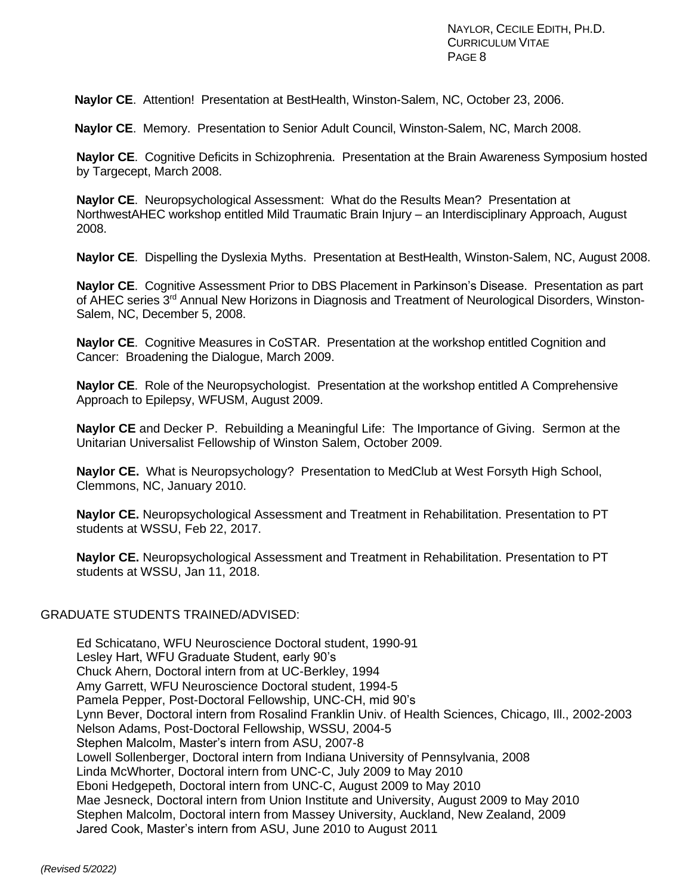**Naylor CE**. Attention! Presentation at BestHealth, Winston-Salem, NC, October 23, 2006.

**Naylor CE**. Memory. Presentation to Senior Adult Council, Winston-Salem, NC, March 2008.

**Naylor CE**. Cognitive Deficits in Schizophrenia. Presentation at the Brain Awareness Symposium hosted by Targecept, March 2008.

**Naylor CE**. Neuropsychological Assessment: What do the Results Mean? Presentation at NorthwestAHEC workshop entitled Mild Traumatic Brain Injury – an Interdisciplinary Approach, August 2008.

**Naylor CE**. Dispelling the Dyslexia Myths. Presentation at BestHealth, Winston-Salem, NC, August 2008.

**Naylor CE**. Cognitive Assessment Prior to DBS Placement in Parkinson's Disease. Presentation as part of AHEC series 3<sup>rd</sup> Annual New Horizons in Diagnosis and Treatment of Neurological Disorders, Winston-Salem, NC, December 5, 2008.

**Naylor CE**. Cognitive Measures in CoSTAR. Presentation at the workshop entitled Cognition and Cancer: Broadening the Dialogue, March 2009.

**Naylor CE**. Role of the Neuropsychologist. Presentation at the workshop entitled A Comprehensive Approach to Epilepsy, WFUSM, August 2009.

**Naylor CE** and Decker P. Rebuilding a Meaningful Life: The Importance of Giving. Sermon at the Unitarian Universalist Fellowship of Winston Salem, October 2009.

**Naylor CE.** What is Neuropsychology? Presentation to MedClub at West Forsyth High School, Clemmons, NC, January 2010.

**Naylor CE.** Neuropsychological Assessment and Treatment in Rehabilitation. Presentation to PT students at WSSU, Feb 22, 2017.

**Naylor CE.** Neuropsychological Assessment and Treatment in Rehabilitation. Presentation to PT students at WSSU, Jan 11, 2018.

## GRADUATE STUDENTS TRAINED/ADVISED:

Ed Schicatano, WFU Neuroscience Doctoral student, 1990-91 Lesley Hart, WFU Graduate Student, early 90's Chuck Ahern, Doctoral intern from at UC-Berkley, 1994 Amy Garrett, WFU Neuroscience Doctoral student, 1994-5 Pamela Pepper, Post-Doctoral Fellowship, UNC-CH, mid 90's Lynn Bever, Doctoral intern from Rosalind Franklin Univ. of Health Sciences, Chicago, Ill., 2002-2003 Nelson Adams, Post-Doctoral Fellowship, WSSU, 2004-5 Stephen Malcolm, Master's intern from ASU, 2007-8 Lowell Sollenberger, Doctoral intern from Indiana University of Pennsylvania, 2008 Linda McWhorter, Doctoral intern from UNC-C, July 2009 to May 2010 Eboni Hedgepeth, Doctoral intern from UNC-C, August 2009 to May 2010 Mae Jesneck, Doctoral intern from Union Institute and University, August 2009 to May 2010 Stephen Malcolm, Doctoral intern from Massey University, Auckland, New Zealand, 2009 Jared Cook, Master's intern from ASU, June 2010 to August 2011